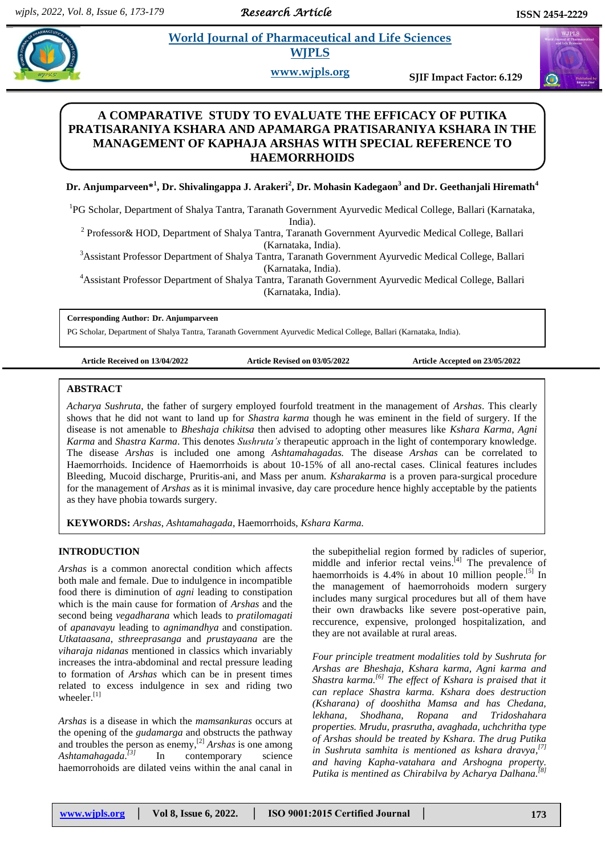*Research Article* 

# **Angle 3** *E* **World Journal of Pharmaceutical and Life Sciences <b>***B* 2  *E* 2  *E* 3  *E* 3  *E* 3  *E* 3  *E* 3  *E* 3  *E* 3  *E* 3  *E* 3  *E* 3  *E* 3  *E* 3  *E* 3  *E* 3  *E* 3  *E* **WJPLS**

**www.wjpls.org SJIF Impact Factor: 6.129**

# **A COMPARATIVE STUDY TO EVALUATE THE EFFICACY OF PUTIKA PRATISARANIYA KSHARA AND APAMARGA PRATISARANIYA KSHARA IN THE MANAGEMENT OF KAPHAJA ARSHAS WITH SPECIAL REFERENCE TO HAEMORRHOIDS**

# **Dr. Anjumparveen\* 1 , Dr. Shivalingappa J. Arakeri<sup>2</sup> , Dr. Mohasin Kadegaon<sup>3</sup> and Dr. Geethanjali Hiremath<sup>4</sup>**

<sup>1</sup>PG Scholar, Department of Shalya Tantra, Taranath Government Ayurvedic Medical College, Ballari (Karnataka, India).

<sup>2</sup> Professor& HOD, Department of Shalya Tantra, Taranath Government Ayurvedic Medical College, Ballari (Karnataka, India).

<sup>3</sup>Assistant Professor Department of Shalya Tantra, Taranath Government Ayurvedic Medical College, Ballari

(Karnataka, India).

<sup>4</sup>Assistant Professor Department of Shalya Tantra, Taranath Government Ayurvedic Medical College, Ballari (Karnataka, India).

**Corresponding Author: Dr. Anjumparveen**

PG Scholar, Department of Shalya Tantra, Taranath Government Ayurvedic Medical College, Ballari (Karnataka, India).

**Article Received on 13/04/2022 Article Revised on 03/05/2022 Article Accepted on 23/05/2022**

# **ABSTRACT**

*Acharya Sushruta*, the father of surgery employed fourfold treatment in the management of *Arshas*. This clearly shows that he did not want to land up for *Shastra karma* though he was eminent in the field of surgery. If the disease is not amenable to *Bheshaja chikitsa* then advised to adopting other measures like *Kshara Karma*, *Agni Karma* and *Shastra Karma*. This denotes *Sushruta's* therapeutic approach in the light of contemporary knowledge. The disease *Arshas* is included one among *Ashtamahagadas.* The disease *Arshas* can be correlated to Haemorrhoids. Incidence of Haemorrhoids is about 10-15% of all ano-rectal cases. Clinical features includes Bleeding, Mucoid discharge, Pruritis-ani, and Mass per anum. *Ksharakarma* is a proven para-surgical procedure for the management of *Arshas* as it is minimal invasive, day care procedure hence highly acceptable by the patients as they have phobia towards surgery.

**KEYWORDS:** *Arshas*, *Ashtamahagada*, Haemorrhoids, *Kshara Karma.*

# **INTRODUCTION**

*Arshas* is a common anorectal condition which affects both male and female. Due to indulgence in incompatible food there is diminution of *agni* leading to constipation which is the main cause for formation of *Arshas* and the second being *vegadharana* which leads to *pratilomagati* of *apanavayu* leading to *agnimandhya* and constipation. *Utkataasana*, *sthreeprasanga* and *prustayaana* are the *viharaja nidanas* mentioned in classics which invariably increases the intra-abdominal and rectal pressure leading to formation of *Arshas* which can be in present times related to excess indulgence in sex and riding two wheeler.<sup>[1]</sup>

*Arshas* is a disease in which the *mamsankuras* occurs at the opening of the *gudamarga* and obstructs the pathway and troubles the person as enemy, [2] *Arshas* is one among *Ashtamahagada. [3]* In contemporary science haemorrohoids are dilated veins within the anal canal in

the subepithelial region formed by radicles of superior, middle and inferior rectal veins.<sup>[4]</sup> The prevalence of haemorrhoids is 4.4% in about 10 million people.<sup>[5]</sup> In the management of haemorrohoids modern surgery includes many surgical procedures but all of them have their own drawbacks like severe post-operative pain, reccurence, expensive, prolonged hospitalization, and they are not available at rural areas.

*Four principle treatment modalities told by Sushruta for Arshas are Bheshaja, Kshara karma, Agni karma and Shastra karma. [6] The effect of Kshara is praised that it can replace Shastra karma. Kshara does destruction (Ksharana) of dooshitha Mamsa and has Chedana, lekhana, Shodhana, Ropana and Tridoshahara properties. Mrudu, prasrutha, avaghada, uchchritha type of Arshas should be treated by Kshara. The drug Putika in Sushruta samhita is mentioned as kshara dravya, [7] and having Kapha-vatahara and Arshogna property. Putika is mentined as Chirabilva by Acharya Dalhana. [8]*



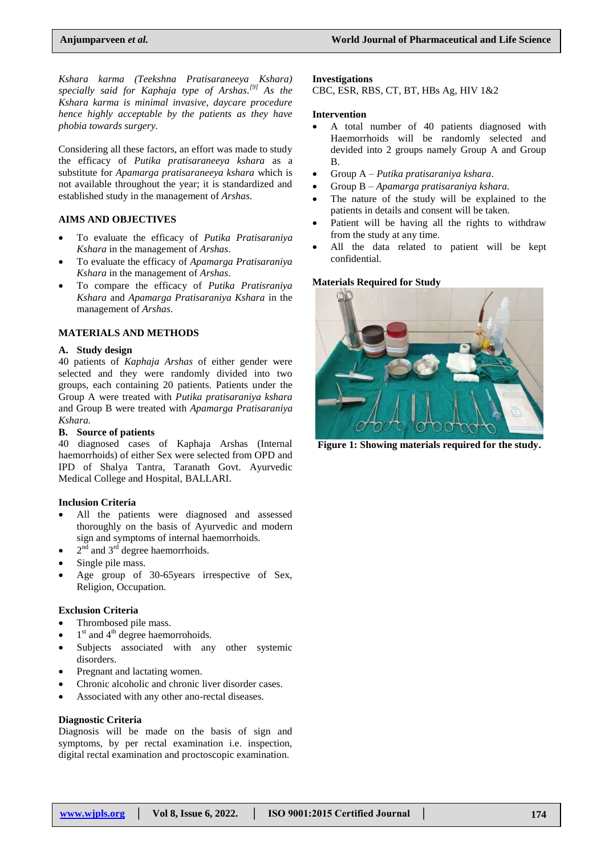*Kshara karma (Teekshna Pratisaraneeya Kshara) specially said for Kaphaja type of Arshas. [9] As the Kshara karma is minimal invasive, daycare procedure hence highly acceptable by the patients as they have phobia towards surgery.* 

Considering all these factors, an effort was made to study the efficacy of *Putika pratisaraneeya kshara* as a substitute for *Apamarga pratisaraneeya kshara* which is not available throughout the year; it is standardized and established study in the management of *Arshas*.

# **AIMS AND OBJECTIVES**

- To evaluate the efficacy of *Putika Pratisaraniya Kshara* in the management of *Arshas*.
- To evaluate the efficacy of *Apamarga Pratisaraniya Kshara* in the management of *Arshas*.
- To compare the efficacy of *Putika Pratisraniya Kshara* and *Apamarga Pratisaraniya Kshara* in the management of *Arshas*.

#### **MATERIALS AND METHODS**

#### **A. Study design**

40 patients of *Kaphaja Arshas* of either gender were selected and they were randomly divided into two groups, each containing 20 patients. Patients under the Group A were treated with *Putika pratisaraniya kshara* and Group B were treated with *Apamarga Pratisaraniya Kshara.*

#### **B. Source of patients**

40 diagnosed cases of Kaphaja Arshas (Internal haemorrhoids) of either Sex were selected from OPD and IPD of Shalya Tantra, Taranath Govt. Ayurvedic Medical College and Hospital, BALLARI.

#### **Inclusion Criteria**

- All the patients were diagnosed and assessed thoroughly on the basis of Ayurvedic and modern sign and symptoms of internal haemorrhoids.
- $\bullet$  2<sup>nd</sup> and 3<sup>rd</sup> degree haemorrhoids.
- Single pile mass.
- Age group of 30-65years irrespective of Sex, Religion, Occupation.

#### **Exclusion Criteria**

- Thrombosed pile mass.
- $\bullet$  1<sup>st</sup> and 4<sup>th</sup> degree haemorrohoids.
- Subjects associated with any other systemic disorders.
- Pregnant and lactating women.
- Chronic alcoholic and chronic liver disorder cases.
- Associated with any other ano-rectal diseases.

#### **Diagnostic Criteria**

Diagnosis will be made on the basis of sign and symptoms, by per rectal examination i.e. inspection, digital rectal examination and proctoscopic examination.

#### **Investigations**

CBC, ESR, RBS, CT, BT, HBs Ag, HIV 1&2

#### **Intervention**

- A total number of 40 patients diagnosed with Haemorrhoids will be randomly selected and devided into 2 groups namely Group A and Group B.
- Group A *Putika pratisaraniya kshara*.
- Group B *Apamarga pratisaraniya kshara.*
- The nature of the study will be explained to the patients in details and consent will be taken.
- Patient will be having all the rights to withdraw from the study at any time.
- All the data related to patient will be kept confidential.

## **Materials Required for Study**



**Figure 1: Showing materials required for the study.**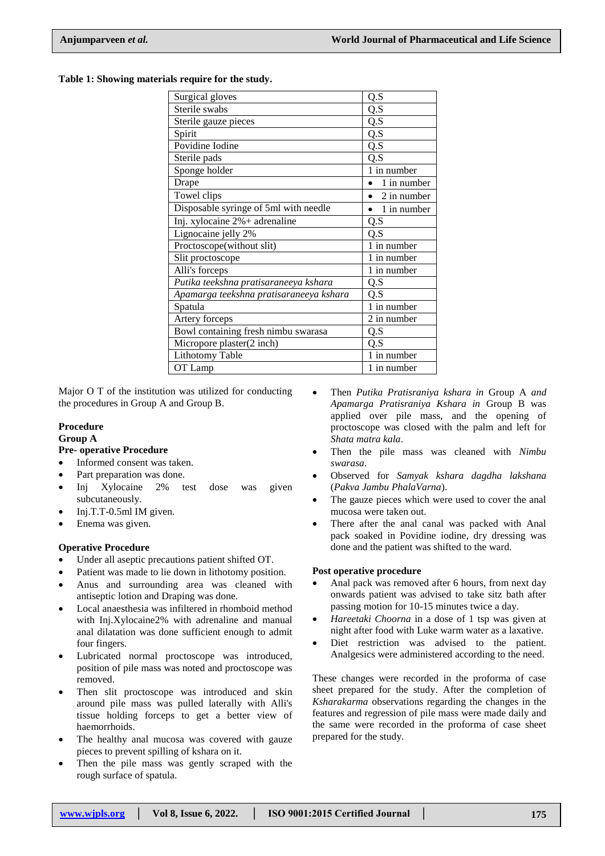**Table 1: Showing materials require for the study.**

| Surgical gloves                         | Q.S         |  |  |  |  |
|-----------------------------------------|-------------|--|--|--|--|
| Sterile swabs                           | Q.S         |  |  |  |  |
| Sterile gauze pieces                    | Q.S         |  |  |  |  |
| Spirit                                  | Q.S         |  |  |  |  |
| Povidine Iodine                         | Q.S         |  |  |  |  |
| Sterile pads                            | Q.S         |  |  |  |  |
| Sponge holder                           | 1 in number |  |  |  |  |
| Drape                                   | 1 in number |  |  |  |  |
| Towel clips                             | 2 in number |  |  |  |  |
| Disposable syringe of 5ml with needle   | 1 in number |  |  |  |  |
| Inj. xylocaine 2%+ adrenaline           | Q.S         |  |  |  |  |
| Lignocaine jelly 2%                     | Q.S         |  |  |  |  |
| Proctoscope(without slit)               | 1 in number |  |  |  |  |
| Slit proctoscope                        | 1 in number |  |  |  |  |
| Alli's forceps                          | 1 in number |  |  |  |  |
| Putika teekshna pratisaraneeya kshara   | Q.S         |  |  |  |  |
| Apamarga teekshna pratisaraneeya kshara | Q.S         |  |  |  |  |
| Spatula                                 | 1 in number |  |  |  |  |
| Artery forceps                          | 2 in number |  |  |  |  |
| Bowl containing fresh nimbu swarasa     | Q.S         |  |  |  |  |
| Micropore plaster(2 inch)               | Q.S         |  |  |  |  |
| <b>Lithotomy Table</b><br>1 in number   |             |  |  |  |  |
| OT Lamp<br>1 in number                  |             |  |  |  |  |

Major O T of the institution was utilized for conducting the procedures in Group A and Group B.

# **Procedure**

#### **Group A**

## **Pre- operative Procedure**

- Informed consent was taken.
- Part preparation was done.
- Inj Xylocaine 2% test dose was given subcutaneously.
- $\bullet$  Inj.T.T-0.5ml IM given.
- Enema was given.

# **Operative Procedure**

- Under all aseptic precautions patient shifted OT.
- Patient was made to lie down in lithotomy position.
- Anus and surrounding area was cleaned with antiseptic lotion and Draping was done.
- Local anaesthesia was infiltered in rhomboid method with Inj.Xylocaine2% with adrenaline and manual anal dilatation was done sufficient enough to admit four fingers.
- Lubricated normal proctoscope was introduced, position of pile mass was noted and proctoscope was removed.
- Then slit proctoscope was introduced and skin around pile mass was pulled laterally with Alli's tissue holding forceps to get a better view of haemorrhoids.
- The healthy anal mucosa was covered with gauze pieces to prevent spilling of kshara on it.
- Then the pile mass was gently scraped with the rough surface of spatula.
- Then *Putika Pratisraniya kshara in* Group A *and Apamarga Pratisraniya Kshara in* Group B was applied over pile mass, and the opening of proctoscope was closed with the palm and left for *Shata matra kala*.
- Then the pile mass was cleaned with *Nimbu swarasa*.
- Observed for *Samyak kshara dagdha lakshana*  (*Pakva Jambu PhalaVarna*).
- The gauze pieces which were used to cover the anal mucosa were taken out.
- There after the anal canal was packed with Anal pack soaked in Povidine iodine, dry dressing was done and the patient was shifted to the ward.

## **Post operative procedure**

- Anal pack was removed after 6 hours, from next day onwards patient was advised to take sitz bath after passing motion for 10-15 minutes twice a day.
- *Hareetaki Choorna* in a dose of 1 tsp was given at night after food with Luke warm water as a laxative.
- Diet restriction was advised to the patient. Analgesics were administered according to the need.

These changes were recorded in the proforma of case sheet prepared for the study. After the completion of *Ksharakarma* observations regarding the changes in the features and regression of pile mass were made daily and the same were recorded in the proforma of case sheet prepared for the study.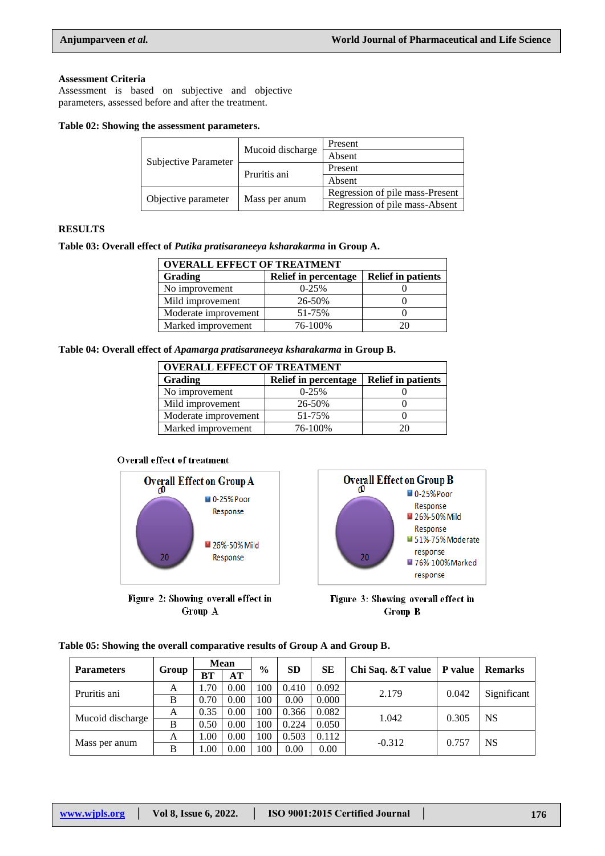#### **Assessment Criteria**

Assessment is based on subjective and objective parameters, assessed before and after the treatment.

#### **Table 02: Showing the assessment parameters.**

| Subjective Parameter | Mucoid discharge | Present                         |  |  |
|----------------------|------------------|---------------------------------|--|--|
|                      |                  | Absent                          |  |  |
|                      | Pruritis ani     | Present                         |  |  |
|                      |                  | Absent                          |  |  |
| Objective parameter  | Mass per anum    | Regression of pile mass-Present |  |  |
|                      |                  | Regression of pile mass-Absent  |  |  |

# **RESULTS**

**Table 03: Overall effect of** *Putika pratisaraneeya ksharakarma* **in Group A.**

| <b>OVERALL EFFECT OF TREATMENT</b> |                             |                           |  |  |  |  |
|------------------------------------|-----------------------------|---------------------------|--|--|--|--|
| Grading                            | <b>Relief in percentage</b> | <b>Relief in patients</b> |  |  |  |  |
| No improvement                     | $0-25%$                     |                           |  |  |  |  |
| Mild improvement                   | 26-50%                      |                           |  |  |  |  |
| Moderate improvement               | 51-75%                      |                           |  |  |  |  |
| Marked improvement                 | 76-100%                     | 20                        |  |  |  |  |

**Table 04: Overall effect of** *Apamarga pratisaraneeya ksharakarma* **in Group B.**

| <b>OVERALL EFFECT OF TREATMENT</b> |                             |                           |  |  |  |  |
|------------------------------------|-----------------------------|---------------------------|--|--|--|--|
| Grading                            | <b>Relief in percentage</b> | <b>Relief in patients</b> |  |  |  |  |
| No improvement                     | $0-25%$                     |                           |  |  |  |  |
| Mild improvement                   | 26-50%                      |                           |  |  |  |  |
| Moderate improvement               | 51-75%                      |                           |  |  |  |  |
| Marked improvement                 | 76-100%                     |                           |  |  |  |  |

## **Overall effect of treatment**



Figure 2: Showing overall effect in Group A



Figure 3: Showing overall effect in Group B

|  | Table 05: Showing the overall comparative results of Group A and Group B. |  |  |
|--|---------------------------------------------------------------------------|--|--|

| <b>Parameters</b> | Group | <b>Mean</b> |      | $\frac{0}{0}$ | <b>SD</b> | <b>SE</b> | Chi Saq. & T value | P value | <b>Remarks</b> |
|-------------------|-------|-------------|------|---------------|-----------|-----------|--------------------|---------|----------------|
|                   |       | BТ          | AT   |               |           |           |                    |         |                |
| Pruritis ani      | A     | 70          | 0.00 | 100           | 0.410     | 0.092     | 2.179              | 0.042   | Significant    |
|                   | B     | 0.70        | 0.00 | 100           | 0.00      | 0.000     |                    |         |                |
| Mucoid discharge  | A     | 0.35        | 0.00 | 100           | 0.366     | 0.082     | 1.042              | 0.305   | <b>NS</b>      |
|                   | B     | 0.50        | 0.00 | 100           | 0.224     | 0.050     |                    |         |                |
| Mass per anum     | A     | 1.00        | 0.00 | 100           | 0.503     | 0.112     |                    |         | <b>NS</b>      |
|                   | B     | 00.1        | 0.00 | 100           | 0.00      | 0.00      | $-0.312$           | 0.757   |                |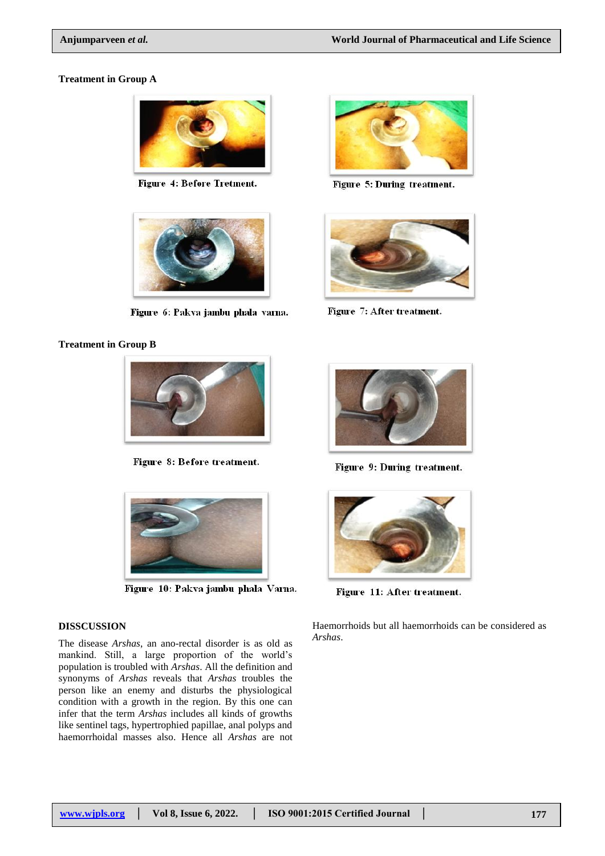#### **Treatment in Group A**



Figure 4: Before Tretment.



Figure 6: Pakva jambu phala varna.

## **Treatment in Group B**



Figure 8: Before treatment.



Figure 10: Pakva jambu phala Varna.

# **DISSCUSSION**

The disease *Arshas*, an ano-rectal disorder is as old as mankind. Still, a large proportion of the world's population is troubled with *Arshas*. All the definition and synonyms of *Arshas* reveals that *Arshas* troubles the person like an enemy and disturbs the physiological condition with a growth in the region. By this one can infer that the term *Arshas* includes all kinds of growths like sentinel tags, hypertrophied papillae, anal polyps and haemorrhoidal masses also. Hence all *Arshas* are not



Figure 5: During treatment.



Figure 7: After treatment.



Figure 9: During treatment.



Figure 11: After treatment.

Haemorrhoids but all haemorrhoids can be considered as *Arshas*.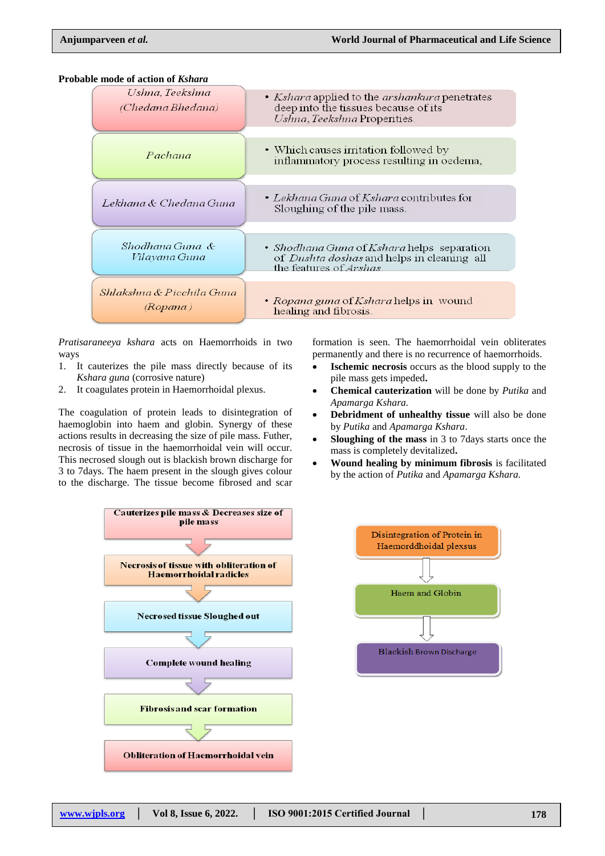**Probable mode of action of** *Kshara*



*Pratisaraneeya kshara* acts on Haemorrhoids in two ways

- 1. It cauterizes the pile mass directly because of its *Kshara guna* (corrosive nature)
- 2. It coagulates protein in Haemorrhoidal plexus.

The coagulation of protein leads to disintegration of haemoglobin into haem and globin. Synergy of these actions results in decreasing the size of pile mass. Futher, necrosis of tissue in the haemorrhoidal vein will occur. This necrosed slough out is blackish brown discharge for 3 to 7days. The haem present in the slough gives colour to the discharge. The tissue become fibrosed and scar



formation is seen. The haemorrhoidal vein obliterates permanently and there is no recurrence of haemorrhoids.

- **Ischemic necrosis** occurs as the blood supply to the pile mass gets impeded**.**
- **Chemical cauterization** will be done by *Putika* and *Apamarga Kshara.*
- **Debridment of unhealthy tissue** will also be done by *Putika* and *Apamarga Kshara*.
- **Sloughing of the mass** in 3 to 7days starts once the mass is completely devitalized**.**
- **Wound healing by minimum fibrosis** is facilitated by the action of *Putika* and *Apamarga Kshara.*